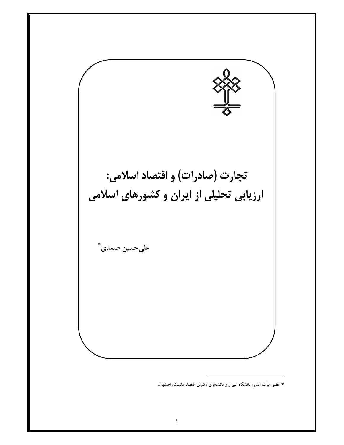

\* عضو هیأت علمی دانشگاه شیراز و دانشجوی دکتری اقتصاد دانشگاه اصفهان.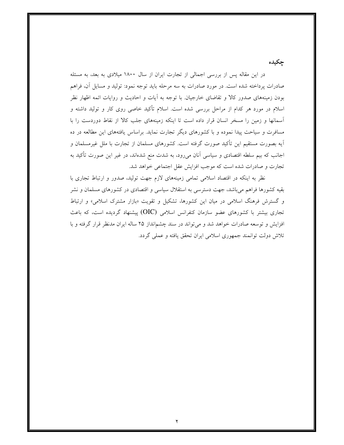جكيده

در این مقاله پس از بررسی اجمالی از تجارت ایران از سال ۱۸۰۰ میلادی به بعد، به مسئله صادرات پرداخته شده است. در مورد صادرات به سه مرحله باید توجه نمود: تولید و مسایل آن، فراهم بودن زمینههای صدور کالا و تقاضای خارجیان. با توجه به آیات و احادیث و روایات ائمه اظهار نظر اسلام در مورد هر کدام از مراحل بررسی شده است. اسلام تأکید خاصی روی کار و تولید داشته و آسمانها و زمین را مسخر انسان قرار داده است تا اینکه زمینههای جلب کالا از نقاط دوردست را با مسافرت و سیاحت پیدا نموده و با کشورهای دیگر تجارت نماید. براساس یافتههای این مطالعه در ده آيه بصورت مستقيم اين تأكيد صورت گرفته است. كشورهاي مسلمان از تجارت با ملل غيرمسلمان و اجانب که بیم سلطه اقتصادی و سیاسی آنان میرود، به شدت منع شدهاند، در غیر این صورت تأکید به تجارت و صادرات شده است كه موجب افزايش عقل اجتماعي خواهد شد.

نظر به اینکه در اقتصاد اسلامی تمامی زمینههای لازم جهت تولید، صدور و ارتباط تجاری با بقیه کشورها فراهم میباشد، جهت دسترسی به استقلال سیاسی و اقتصادی در کشورهای مسلمان و نشر و گسترش فرهنگ اسلامی در میان این کشورها، تشکیل و تقویت «بازار مشترک اسلامی» و ارتباط تجاری بیشتر با کشورهای عضو سازمان کنفرانس اسلامی (OIC) پیشنهاد گردیده است، که باعث افزایش و توسعه صادرات خواهد شد و میتواند در سند چشمانداز ۲۵ ساله ایران مدنظر قرار گرفته و با تلاش دولت توانمند جمهوري اسلامي ايران تحقق يافته و عملي گردد.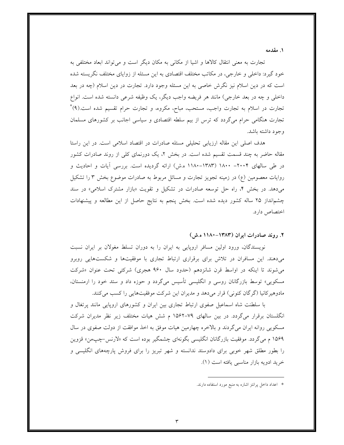۱. مقدمه

تجارت به معنی انتقال کالاها و اشیا از مکانی به مکان دیگر است و میتواند ابعاد مختلفی به خود گیرد: داخلی و خارجی، در مکاتب مختلف اقتصادی به این مسئله از زوایای مختلف نگریسته شده است که در دین اسلام نیز نگرش خاصی به این مسئله وجود دارد. تجارت در دین اسلام (چه در بعد داخلی و چه در بعد خارجی) مانند هر فریضه واجب دیگر، یک وظیفه شرعی دانسته شده است. انواع تجارت در اسلام به تجارت واجب، مستحب، مباح، مکروه، و تجارت حرام تقسیم شده است.(۹)\* تجارت هنگامی حرام میگردد که ترس از بیم سلطه اقتصادی و سیاسی اجانب بر کشورهای مسلمان وجود داشته باشد.

هدف اصلی این مقاله ارزیابی تحلیلی مسئله صادرات در اقتصاد اسلامی است. در این راستا مقاله حاضر به چند قسمت تقسیم شده است. در بخش ۲، یک دورنمای کلی از روند صادرات کشور در طی سالهای ۲۰۰۴– ۱۸۰۰ (۱۳۸۳–۱۱۸۰ ه.ش) ارائه گردیده است. بررسی آیات و احادیث و روایات معصومین (ع) در زمینه تجویز تجارت و مسائل مربوط به صادرات موضوع بخش ۳ را تشکیل میدهد. در بخش ۴، راه حل توسعه صادرات در تشکیل و تقویت «بازار مشترک اسلامی» در سند چشم|نداز ۲۵ ساله کشور دیده شده است. بخش پنجم به نتایج حاصل از این مطالعه و پیشنهادات اختصاص دارد.

۲. روند صادرات ایران (۱۳۸۳–۱۱۸۰ ه.ش)

نویسندگان، ورود اولین مسافر اروپایی به ایران را به دوران تسلط مغولان بر ایران نسبت میدهند. این مسافران در تلاش برای برقراری ارتباط تجاری با موفقیتها و شکستهایی روبرو می شوند تا اینکه در اواسط قرن شانزدهم (حدود سال ۹۶۰ هجری) شرکتی تحت عنوان «شرکت مسکویی» توسط بازرگانان روسی و انگلیسی تأسیس میگردد و حوزه داد و ستد خود را ارمنستان، مادوهیرکانیا (گرگان کنونی) قرار میدهد و مدیران این شرکت موفقیتهایی را کسب میکنند.

با سلطنت شاه اسماعیل صفوی ارتباط تجاری بین ایران و کشورهای اروپایی مانند پرتغال و انگلستان برقرار میگردد. در بین سالهای ۷۹–۱۵۶۲ م شش هیات مختلف زیر نظر مدیران شرکت مسکویی روانه ایران می گردند و بالاخره چهارمین هیات موفق به اخذ موافقت از دولت صفوی در سال ۱۵۶۹ م می گردد. موفقیت بازرگانان انگلیسی بگونهای چشمگیر بوده است که «لارنس-چپمن» قزوین را بطور مطلق شهر خوبی برای دادوستد ندانسته و شهر تبریز را برای فروش پارچههای انگلیسی و خريد ادويه بازار مناسبي يافته است (١).

<sup>\*</sup> اعداد داخل پرانتز اشاره به منبع مورد استفاده دارند.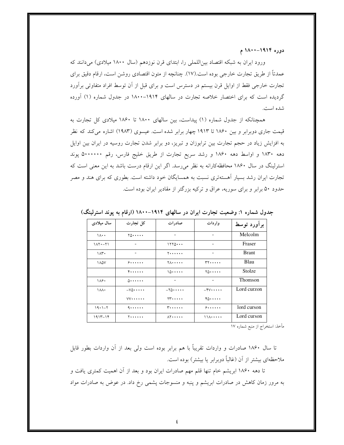دوره ۱۸۰۴-۱۸۰۰ م

ورود ایران به شبکه اقتصاد بیناللملی را، ابتدای قرن نوزدهم (سال ۱۸۰۰ میلادی) میدانند که عمدتاً از طریق تجارت خارجی بوده است.(١٧). چنانچه از متون اقتصادی روشن است، ارقام دقیق برای تجارت خارجی فقط از اوایل قرن بیستم در دسترس است و برای قبل از آن توسط افراد متفاوتی برآورد گردیده است که برای اختصار خلاصه تجارت در سالهای ۱۹۱۴–۱۸۰۰ در جدول شماره (۱) آورده شده است.

همچنانکه از جدول شماره (۱) پیداست، بین سالهای ۱۸۰۰ تا ۱۸۶۰ میلادی کل تجارت به قیمت جاری دوبرابر و بین ۱۸۶۰ تا ۱۹۱۳ چهار برابر شده است. عیسوی (۱۹۸۳) اشاره میکند که نظر به افزایش زیاد در حجم تجارت بین ترابوزان و تبریز، دو برابر شدن تجارت روسیه در ایران بین اوایل دهه ۱۸۳۰ و اواسط دهه ۱۸۶۰ و رشد سریع تجارت از طریق خلیج فارس، رقم ۵۰۰۰۰۰۰ پوند استرلینگ در سال ۱۸۶۰ محافظهکارانه به نظر میرسد. اگر این ارقام درست باشد به این معنی است که تجارت ایران رشد بسیار آهستهتری نسبت به همسایگان خود داشته است. بطوری که برای هند و مصر حدود ۵۰ برابر و برای سوریه، عراق و ترکیه بزرگتر از مقادیر ایران بوده است.

| سال میلادی              | کل تجارت                 | صادر ات                  | واردات                           | برأورد توسط    |
|-------------------------|--------------------------|--------------------------|----------------------------------|----------------|
| $\lambda \cdot \cdot$   | 70                       |                          | $\overline{\phantom{a}}$         | Melcolm        |
| $11 - 71$               |                          | 1770                     | -                                | Fraser         |
| ۱۸۳۰                    | $\overline{\phantom{a}}$ | <b>T++++++</b>           | $\overline{\phantom{a}}$         | <b>Brant</b>   |
| 1 A 2 V                 | 9.1.1.1.                 | <b>YA</b>                | $rr \cdots$                      | Blau           |
|                         | 4.                       | 10                       | $Y_0 \cdots$                     | Stolze         |
| $\lambda$ .             | $0$                      | $\overline{\phantom{a}}$ | $\overline{\phantom{a}}$         | <b>Thomson</b> |
| $\lambda \lambda \cdot$ | $-V\Delta$               | $-\tau \wedge \cdots$    | $-\mathfrak{F}V\cdots\cdot\cdot$ | Lord curzon    |
|                         | $VV \cdots \cdots$       | $\gamma$ $\gamma$        | $Y_0 \cdots$                     |                |
| $19.1 - 7$              | 4                        | <b>Terries</b>           | 9.1.1.1.                         | lord curson    |
| $1915 - 18$             | <b>T++++++</b>           | $\Lambda$                | $\mathcal{N}$                    | Lord curson    |

جدول شماره ۱: وضعیت تجارت ایران در سالهای ۱۹۱۴–۱۸۰۰ (ارقام به پوند استرلینگ)

مأخذ: استخراج از منبع شماره ١٧

تا سال ۱۸۶۰ صادرات و واردات تقریباً با هم برابر بوده است ولی بعد از آن واردات بطور قابل ملاحظهای بیشتر از آن (غالباً دوبرابر یا بیشتر) بوده است.

تا دهه ۱۸۶۰ ابریشم خام تنها قلم مهم صادرات ایران بود و بعد از آن اهمیت کمتری یافت و به مرور زمان کاهش در صادرات ابریشم و پنبه و منسوجات پشمی رخ داد. در عوض به صادرات مواد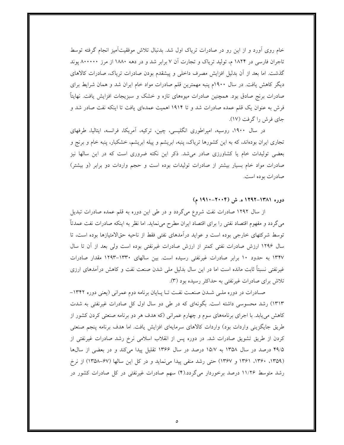خام روی اَورد و از این رو در صادرات تریاک اول شد. بدنبال تلاش موفقیتآمیز انجام گرفته توسط تاجران فارسی در ۱۸۲۴ م، تولید تریاک و تجارت آن ۷ برابر شد و در دهه ۱۸۸۰ از مرز ۸۰۰۰۰۰ پوند گذشت. اما بعد از آن بدلیل افزایش مصرف داخلی و پیشقدم بودن صادرات تریاک، صادرات کالاهای دیگر کاهش یافت. در سال ۱۹۰۰م پنبه مهمترین قلم صادرات مواد خام ایران شد و همان شرایط برای صادرات برنج صادق بود. همچنین صادرات میوههای تازه و خشک و سبزیجات افزایش یافت. نهایتاً فرش به عنوان یک قلم عمده صادرات شد و تا ۱۹۱۴ اهمیت عمدهای یافت تا اینکه نفت صادر شد و جای فرش را گرفت (۱۷).

در سال ۱۹۰۰، روسیه، امپراطوری انگلیسی، چین، ترکیه، آمریکا، فرانسه، ایتالیا، طرفهای تجاری ایران بودهاند، که به این کشورها تریاک، پنبه، ابریشم و پیله ابریشم، خشکبار، پنبه خام و برنج و بعضی تولیدات خام یا کشاورزی صادر میشد. ذکر این نکته ضروری است که در این سالها نیز صادرات مواد خام بسیار بیشتر از صادرات تولیدات بوده است و حجم واردات دو برابر (و بیشتر) صادرات بوده است.

### دوره ۱۳۸۱–۱۲۹۲ ه. ش (۲۰۰۴–۱۹۱۰ م)

از سال ۱۲۹۲ صادرات نفت شروع میگردد و در طی این دوره به قلم عمده صادرات تبدیل می گردد و مفهوم اقتصاد نفتی را برای اقتصاد ایران مطرح میiماید. اما نظر به اینکه صادرات نفت عمدتاً توسط شرکتهای خارجی بوده است و عواید درآمدهای نفتی فقط از ناحیه حقالامتیازها بوده است، تا سال ۱۲۹۶ ارزش صادرات نفتی کمتر از ارزش صادرات غیرنفتی بوده است ولی بعد از آن تا سال ۱۳۴۷ به حدود ۱۰ برابر صادرات غیرنفتی رسیده است. بین سالهای ۱۳۳۰–۱۲۹۳ مقدار صادرات غیرنفتی نسبتاً ثابت مانده است اما در این سال بدلیل ملی شدن صنعت نفت و کاهش درآمدهای ارزی تلاش برای صادرات غیرنفتی به حداکثر رسیده بود (۳).

صادرات در دوره ملبی شـدن صنعـت نفـت تـا پـایان برنامه دوم عمرانی (یعنی دوره ۱۳۴۲-۱۳۱۳) رشد محسوسی داشته است. بگونهای که در طی دو سال اول کل صادرات غیرنفتی به شدت کاهش می یابد. با اجرای برنامههای سوم و چهارم عمرانی (که هدف هر دو برنامه صنعتی کردن کشور از طریق جایگزینی واردات بود) واردات کالاهای سرمایهای افزایش یافت. اما هدف برنامه پنجم صنعتی کردن از طریق تشویق صادرات شد. در دوره پس از انقلاب اسلامی نرخ رشد صادرات غیرنفتی از ۴۹/۵ درصد در سال ۱۳۵۸ به ۱۵/۷ درصد در سال ۱۳۶۶ تقلیل پیدا میکند و در بعضی از سالها (۱۳۵۹، ۱۳۶۰، ۱۳۶۱ و ۱۳۶۷) حتی رشد منفی پیدا می نماید و در کل این سالها (۶۷-۱۳۵۸) از نرخ رشد متوسط ۱۱/۲۶ درصد برخوردار میگردد.(۴) سهم صادرات غیرنفتی در کل صادرات کشور در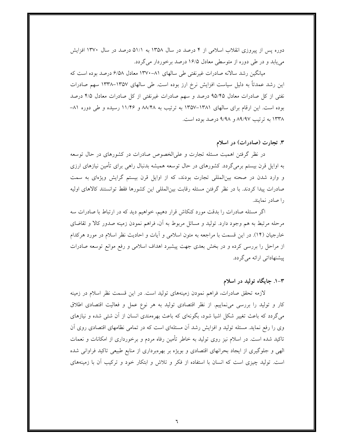دوره پس از پیروزی انقلاب اسلامی از ۴ درصد در سال ۱۳۵۸ به ۵۱/۱ درصد در سال ۱۳۷۰ افزایش می یابد و در طی دوره از متوسطی معادل ۱۶/۵ درصد برخوردار می گردد.

میانگین رشد سالانه صادرات غیرنفتی طی سالهای ۸۱–۱۳۷۰ معادل ۶/۵۸ درصد بوده است که این رشد عمدتاً به دلیل سیاست افزایش نرخ ارز بوده است. طی سالهای ۱۳۵۷–۱۳۳۸ سهم صادرات نفتی از کل صادرات معادل ۹۵/۴۵ درصد و سهم صادرات غیرنفتی از کل صادرات معادل ۴/۵ درصد بوده است. این ارقام برای سالهای ۱۳۸۱–۱۳۵۷ به ترتیب به ۸۸/۴۸ و ۱۱/۴۶ رسیده و طی دوره ۸۱– ۱۳۳۸ به ترتیب ۸۹/۹۷ و ۹/۹۸ درصد بوده است.

#### ۳. تجارت (صادرات) در اسلام

در نظر گرفتن اهمیت مسئله تجارت و علیالخصوص صادرات در کشورهای در حال توسعه به اوایل قرن بیستم برمی گردد. کشورهای در حال توسعه همیشه بدنبال راهی برای تأمین نیازهای ارزی و وارد شدن در صحنه بین المللی تجارت بودند، که از اوایل قرن بیستم گرایش ویژهای به سمت صادرات پیدا کردند. با در نظر گرفتن مسئله رقابت بینالمللی این کشورها فقط توانستند کالاهای اولیه را صادر نمایند.

اگر مسئله صادرات را بدقت مورد کنکاش قرار دهیم، خواهیم دید که در ارتباط با صادرات سه مرحله مرتبط به هم وجود دارد. تولید و مسائل مربوط به آن، فراهم نمودن زمینه صدور کالا و تقاضای خارجیان (١۴). در این قسمت با مراجعه به متون اسلامی و اَیات و احادیث نظر اسلام در مورد هرکدام از مراحل را بررسی کرده و در بخش بعدی جهت پیشبرد اهداف اسلامی و رفع موانع توسعه صادرات پیشنهاداتی ارائه میگردد.

## ۰–۲. جایگاه تولید در اسلام

لازمه تحقق صادرات، فراهم نمودن زمینههای تولید است. در این قسمت نظر اسلام در زمینه کار و تولید را بررسی میiماییم. از نظر اقتصادی تولید به هر نوع عمل و فعالیت اقتصادی اطلاق میگردد که باعث تغییر شکل اشیا شود، بگونهای که باعث بهرهمندی انسان از آن شئی شده و نیازهای وی را رفع نماید. مسئله تولید و افزایش رشد آن مسئلهای است که در تمامی نظامهای اقتصادی روی آن تاکید شده است. در اسلام نیز روی تولید به خاطر تأمین رفاه مردم و برخورداری از امکانات و نعمات الهی و جلوگیری از ایجاد بحرانهای اقتصادی و بویژه بر بهرهبرداری از منابع طبیعی تاکید فراوانی شده است. تولید چیزی است که انسان با استفاده از فکر و تلاش و ابتکار خود و ترکیب آن با زمینههای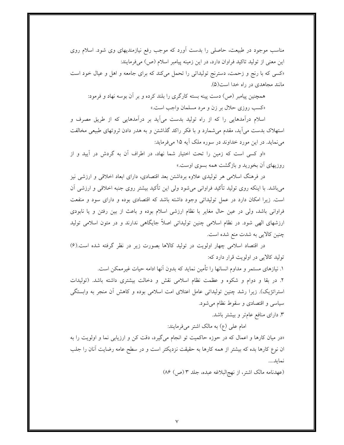مناسب موجود در طبیعت، حاصلی را بدست آورد که موجب رفع نیازمندیهای وی شود. اسلام روی این معنی از تولید تاکید فراوان دارد، در این زمینه پیامبر اسلام (ص) میفرمایند: «کسی که با رنج و زحمت، دسترنج تولیداتی را تحمل میکند که برای جامعه و اهل و عیال خود است مانند مجاهدی در راه خدا است(۵).

همچنین پیامبر (ص) دست پینه بسته کارگری را بلند کرده و بر آن بوسه نهاد و فرمود:

«کسب روزی حلال بر زن و مرد مسلمان واجب است.»

اسلام درآمدهایی را که از راه تولید بدست میآید بر درآمدهایی که از طریق مصرف و استهلاک بدست می آید، مقدم می شمارد و با فکر راکد گذاشتن و به هدر دادن ثروتهای طبیعی مخالفت مي نمايد. در اين مورد خداوند در سوره ملک آيه ۱۵ مي فرمايد:

«او کسی است که زمین را تحت اختیار شما نهاد، در اطراف آن به گردش در آیید و از روزیهای آن بخورید و بازگشت همه بسوی اوست.»

در فرهنگ اسلامی هر تولیدی علاوه برداشتن بعد اقتصادی، دارای ابعاد اخلاقی و ارزشی نیز میباشد. با اینکه روی تولید تأکید فراوانی میشود ولی این تأکید بیشتر روی جنبه اخلاقی و ارزشی آن است. زیرا امکان دارد در عمل تولیداتی وجود داشته باشد که اقتصادی بوده و دارای سود و منفعت فراوانی باشد، ولی در عین حال مغایر با نظام ارزشی اسلام بوده و باعث از بین رفتن و یا نابودی ارزشهای الهی شود. در نظام اسلامی چنین تولیداتی اصلاً جایگاهی ندارند و در متون اسلامی تولید چنین کالایی به شدت منع شده است.

در اقتصاد اسلامی چهار اولویت در تولید کالاها بصورت زیر در نظر گرفته شده است.(۶) توليد كالايي در اولويت قرار دارد كه:

١. نیازهای مستمر و مداوم انسانها را تأمین نماید که بدون آنها ادامه حیات غیرممکن است. ۲. در بقا و دوام و شکوه و عظمت نظام اسلامی نقش و دخالت بیشتری داشته باشد. (تولیدات استراتژیک). زیرا رشد چنین تولیداتی عامل اعتلای امت اسلامی بوده و کاهش آن منجر به وابستگی سیاسی و اقتصادی و سقوط نظام می شود.

۳. دارای منافع عامتر و بیشتر باشد.

امام علی (ع) به مالک اشتر میفرمایند:

«در میان کارها و اعمال که در حوزه حاکمیت تو انجام میگیرد، دقت کن و ارزیابی نما و اولویت را به ان نوع کارها بده که بیشتر از همه کارها به حقیقت نزدیکتر است و در سطح عامه رضایت آنان را جلب نمايد....

(عهدنامه مالک اشتر، از نهج|لبلاغه عبده، جلد ٣ (ص) ٨۶)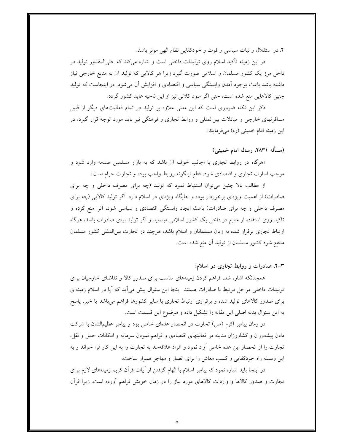۴. در استقلال و ثبات سیاسی و قوت و خودکفایی نظام الهی موثر باشد.

در این زمینه تأکید اسلام روی تولیدات داخلی است و اشاره میکند که حتی|لمقدور تولید در داخل مرز یک کشور مسلمان و اسلامی صورت گیرد زیرا هر کالایی که تولید آن به منابع خارجی نیاز داشته باشد باعث بوجود آمدن وابستگی سیاسی و اقتصادی و افزایش آن میشود. در اینجاست که تولید چنین کالاهایی منع شده است، حتی اگر سود کلانی نیز از این ناحیه عاید کشور گردد.

ذکر این نکته ضروری است که این معنی علاوه بر تولید در تمام فعالیتهای دیگر از قبیل مسافرتهای خارجی و مبادلات بین|لمللی و روابط تجاری و فرهنگی نیز باید مورد توجه قرار گیرد، در این زمینه امام خمینی (ره) میفرمایند:

# (مسأله ٢٨٣١، رساله امام خميني)

«هرگاه در روابط تجاری با اجانب خوف آن باشد که به بازار مسلمین صدمه وارد شود و موجب اسارت تجاري و اقتصادي شود، قطع اينگونه روابط واجب بوده و تجارت حرام است»

از مطالب بالا چنین میتوان استنباط نمود که تولید (چه برای مصرف داخلی و چه برای صادرات) از اهمیت ویژهای برخوردار بوده و جایگاه ویژهای در اسلام دارد. اگر تولید کالایی (چه برای مصرف داخلی و چه برای صادرات) باعث ایجاد وابستگی اقتصادی و سیاسی شود، آنرا منع کرده و تاکید روی استفاده از منابع در داخل یک کشور اسلامی مینماید و اگر تولید برای صادرات باشد، هرگاه ارتباط تجاری برقرار شده به زیان مسلمانان و اسلام باشد، هرچند در تجارت بین المللی کشور مسلمان منتفع شود کشور مسلمان از تولید آن منع شده است.

### ۳–۲. صادرات و روابط تجاری در اسلام:

همچنانکه اشاره شد، فراهم کردن زمینههای مناسب برای صدور کالا و تقاضای خارجیان برای تولیدات داخلی مراحل مرتبط با صادرات هستند. اینجا این سئوال پیش میآید که آیا در اسلام زمینهای برای صدور کالاهای تولید شده و برقراری ارتباط تجاری با سایر کشورها فراهم میباشد یا خیر. پاسخ به اين سئوال بدنه اصلي اين مقاله را تشكيل داده و موضوع اين قسمت است.

در زمان پیامبر اکرم (ص) تجارت در انحصار عدهای خاص بود و پیامبر عظیمالشان با شرکت دادن پیشهوران و کشاورزان مدینه در فعالیتهای اقتصادی و فراهم نمودن سرمایه و امکانات حمل و نقل، تجارت را از انحصار این عده خاص آزاد نمود و افراد علاقهمند به تجارت را به این کار فرا خواند و به این وسیله راه خودکفایی و کسب معاش را برای انصار و مهاجر هموار ساخت.

در اینجا باید اشاره نمود که پیامبر اسلام با الهام گرفتن از آیات قرآن کریم زمینههای لازم برای تجارت و صدور کالاها و واردات کالاهای مورد نیاز را در زمان خویش فراهم آورده است. زیرا قرآن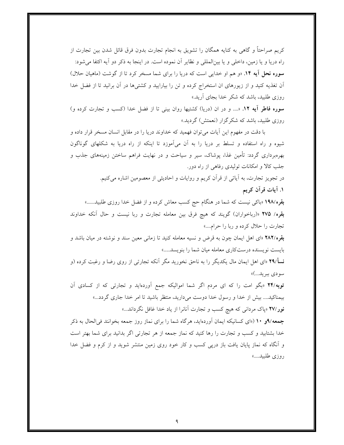کریم صراحتاً و گاهی به کنایه همگان را تشویق به انجام تجارت بدون فرق قائل شدن بین تجارت از راه دریا و یا زمین، داخلی و یا بینالمللی و نظایر أن نموده است. در اینجا به ذکر دو أیه اکتفا می شود: **سوره نحل آیه ۱۴.** «و هم او خدایی است که دریا را برای شما مسخر کرد تا از گوشت (ماهیان حلال) آن تغذیه کنید و از زیورهای ان استخراج کرده و تن را بیارایید و کشتیها در آن برانید تا از فضل خدا روزی طلبید، باشد که شکر خدا بجای آرید.»

**سوره فاطر آیه ۱۲**. «.... و در ان (دریا) کشتیها روان بینی تا از فضل خدا (کسب و تجارت کرده و) روزی طلبید، باشد که شکرگزار (نعمتش) گردید.»

با دقت در مفهوم این آیات می توان فهمید که خداوند دریا را در مقابل انسان مسخر قرار داده و شیوه و راه استفاده و تسلط بر دریا را به آن میآموزد تا اینکه از راه دریا به شکلهای گوناگون بهرهبرداری گردد: تأمین غذا، پوشاک، سیر و سیاحت و در نهایت فراهم ساختن زمینههای جذب و جلب کالا و امکانات تولیدی رفاهی از راه دور.

> در تجویز تجارت، به آیاتی از قرآن کریم و روایات و احادیثی از معصومین اشاره میکنیم. ۱. أيات قرأن كريم

**بقره /۱۹۸** «باک<sub>ی</sub> نیست که شما در هنگام حج کسب معاش کرده و از فضل خدا روزی طلبید......» بقره/ ٢٧٥ «(رباخواران) گويند كه هيچ فرق بين معامله تجارت و ربا نيست و حال آنكه خداوند تجارت را حلال کرده و ربا را حرام....»

بقره/۲۸۲ «ای اهل ایمان چون به قرض و نسیه معامله کنید تا زمانی معین سند و نوشته در میان باشد و بایست نویسنده درستکاری معامله میان شما را بنویسد.....»

نسأ/٢٩ «اي اهل ايمان مال يكديگر را به ناحق نخوريد مگر آنكه تجارتي از روي رضا و رغبت كرده (و سودي ببريد...)»

توبه/۲۴ «بگو امت را که ای مردم اگر شما اموالیکه جمع آوردهاید و تجارتی که از کسادی آن بیمناکید.... بیش از خدا و رسول خدا دوست میدارید، منتظر باشید تا امر خدا جاری گردد...» **نور /۲۷** «پاک مردان<sub>ی</sub> که هیچ کسب و تجارت آنانرا از یاد خدا غافل نگرداند...»

جمعه/۹و ۱۰ («ای کسانیکه ایمان آوردهاید، هرگاه شما را برای نماز روز جمعه بخوانند فی الحال به ذکر خدا بشتابید و کسب و تجارت را رها کنید که نماز جمعه از هر تجارتی اگر بدانید برای شما بهتر است و آنگاه که نماز پایان یافت باز درپی کسب و کار خود روی زمین منتشر شوید و از کرم و فضل خدا روزي طلبيد....»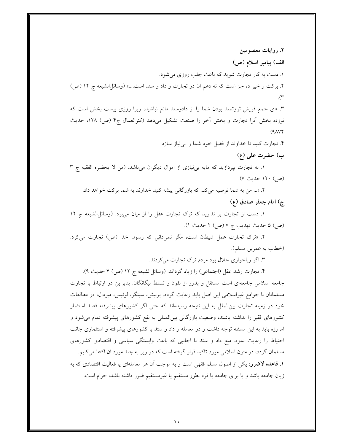۲. روایات معصومین الف) پیامبر اسلام (ص) ١. دست به كار تجارت شويد كه باعث جلب روزي مي شود. ٢. بركت و خير ده جز است كه نه دهم ان در تجارت و داد و ستد است....» (وسائلاالشيعه ج ١٢ (ص)  $(\tau$ 

۳. «ای جمع قریش ثروتمند بودن شما را از دادوستد مانع نباشید، زیرا روزی بیست بخش است که نوزده بخش آنرا تجارت و بخش آخر را صنعت تشکیل میدهد (کنزالعمال ج۴ (ص) ۱۲۸، حدیث  $(9\lambda\mathsf{V}\mathsf{F})$ 

۴. تجارت كنيد تا خداوند از فضل خود شما را بي نياز سازد.

ب) حضرت على (ع)

۱. به تجارت بپردازید که مایه بی نیازی از اموال دیگران میباشد. (من لا یحضره الفقیه ج ۳ (ص) ١٢٠ حديث ٧).

٢. «... من به شما توصيه مي كنم كه بازرگاني پيشه كنيد خداوند به شما بركت خواهد داد. ج) امام جعفر صادق (ع)

١. دست از تجارت بر نداريد كه ترك تجارت عقل را از ميان مي برد. (وسائلاالشيعه ج ١٢ (ص) ۵ حديث تهديب ج ۷ (ص) ۲ حديث ١).

۲. «ترک تجارت عمل شیطان است، مگر نمیدانی که رسول خدا (ص) تجارت میکرد. (خطاب به عمربن مسلم).

۳. اگر رباخواری حلال بود مردم ترک تجارت میکردند.

۴. تجارت رشد عقل (اجتماعی) را زیاد گرداند. (وسائل|لشیعه ج ۱۲ (ص) ۴ حدیث ۹). جامعه اسلامی جامعهای است مستقل و بدور از نفوذ و تسلط بیگانگان. بنابراین در ارتباط با تجارت مسلمانان با جوامع غیراسلامی این اصل باید رعایت گردد. پربیش، سینگر، لوئیس، میردال، در مطالعات خود در زمینه تجارت بین|لملل به این نتیجه رسیدهاند که حتی اگر کشورهای پیشرفته قصد استثمار کشورهای فقیر را نداشته باشند، وضعیت بازرگانی بینالمللی به نفع کشورهای پیشرفته تمام می شود و امروزه باید به این مسئله توجه داشت و در معامله و داد و ستد با کشورهای پیشرفته و استثماری جانب احتیاط را رعایت نمود. منع داد و ستد با اجانبی که باعث وابستگی سیاسی و اقتصادی کشورهای مسلمان گردد، در متون اسلامی مورد تاکید قرار گرفته است که در زیر به چند مورد ان اکتفا میکنیم. **۱. قاعده لاضرر:** یکی از اصول مسلم فقهی است و به موجب آن هر معاملهای یا فعالیت اقتصادی که به زیان جامعه باشد و یا برای جامعه یا فرد بطور مستقیم یا غیرمستقیم ضرر داشته باشد، حرام است.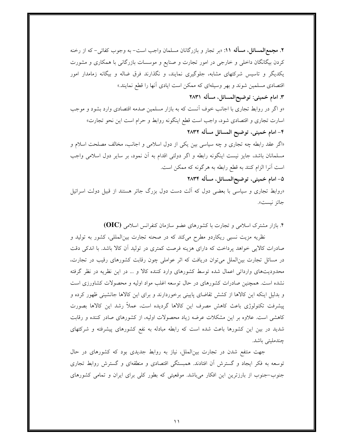۲. مجمع|لمسائل، مسأله ۱۱: «بر تجار و بازرگانان مسلمان واجب است- به وجوب كفائي- كه از رخنه کردن بیگانگان داخلی و خارجی در امور تجارت و صنایع و موسسات بازرگانی با همکاری و مشورت یکدیگر و تاسیس شرکتهای مشابه، جلوگیری نمایند، و نگذارند فرق ضاله و بیگانه زمامدار امور اقتصادی مسلمین شوند و بهر وسیلهای که ممکن است ایادی آنها را قطع نمایند.»

### ٣. امام خميني: توضيحالمسائل، مسأله ٢٨٣١

«و اگر در روابط تجاری با اجانب خوف آنست که به بازار مسلمین صدمه اقتصادی وارد بشود و موجب اسارت تجاری و اقتصادی شود، واجب است قطع اینگونه روابط و حرام است این نحو تجارت» ۴- امام خميني، توضيح المسائل مسأله ٢٨٣٢

«اگر عقد رابطه چه تجاری و چه سیاسی بین یکی از دول اسلامی و اجانب، مخالف مصلحت اسلام و مسلمانان باشد، جایز نیست اینگونه رابطه و اگر دولتی اقدام به آن نمود، بر سایر دول اسلامی واجب است آنرا الزام کنند به قطع رابطه به هرگونه که ممکن است.

۵- امام خميني، توضيحالمسائل، مسأله ۲۸۳۴

«روابط تجاری و سیاسی با بعضی دول که اَلت دست دول بزرگ جائر هستند از قبیل دولت اسرائیل جائز نيست».

۴. بازار مشترک اسلامی و تجارت با کشورهای عضو سازمان کنفرانس اسلامی (OIC)

نظریه مزیت نسبی ریکاردو مطرح میکند که در صحنه تجارت بینالمللی، کشور به تولید و صادرات کالایی خواهد پرداخت که دارای هزینه فرصت کمتری در تولید آن کالا باشد. با اندکی دقت در مسائل تجارت بین|لملل میتوان دریافت که اثر عواملی چون رقابت کشورهای رقیب در تجارت، محدودیتهای وارداتی اعمال شده توسط کشورهای وارد کننده کالا و … در این نظریه در نظر گرفته نشده است. همچنین صادرات کشورهای در حال توسعه اغلب مواد اولیه و محصولات کشاورزی است و بدلیل اینکه این کالاها از کشش تقاضای پایینی برخوردارند و برای این کالاها جانشینی ظهور کرده و پیشرفت تکنولوژی باعث کاهش مصرف این کالاها گردیده است، عملاً رشد این کالاها بصورت کاهشی است. علاوه بر این مشکلات عرضه زیاد محصولات اولیه، از کشورهای صادر کننده و رقابت شدید در بین این کشورها باعث شده است که رابطه مبادله به نفع کشورهای پیشرفته و شرکتهای چندملیتے باشد.

جهت منتفع شدن در تجارت بینالملل، نیاز به روابط جدیدی بود که کشورهای در حال توسعه به فکر ایجاد و گسترش آن افتادند. همبستگی اقتصادی و منطقهای و گسترش روابط تجاری جنوب-جنوب از بارزترین این افکار میباشد. موقعیتی که بطور کلی برای ایران و تمامی کشورهای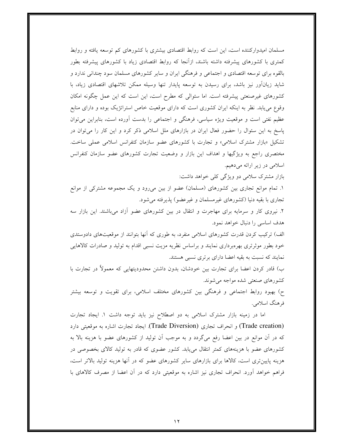مسلمان امیدوارکننده است، این است که روابط اقتصادی بیشتری با کشورهای کم توسعه یافته و روابط کمتری با کشورهای پیشرفته داشته باشند، ازآنجا که روابط اقتصادی زیاد با کشورهای پیشرفته بطور بالقوه برای توسعه اقتصادی و اجتماعی و فرهنگی ایران و سایر کشورهای مسلمان سود چندانی ندارد و شاید زیانآور نیز باشد، برای رسیدن به توسعه پایدار تنها وسیله ممکن تلاشهای اقتصادی زیاد، با کشورهای غیرصنعتی پیشرفته است. اما سئوالی که مطرح است، این است که این عمل چگونه امکان وقوع می یابد. نظر به اینکه ایران کشوری است که دارای موقعیت خاص استراتژیک بوده و دارای منابع عظیم نفتی است و موقعیت ویژه سیاسی، فرهنگی و اجتماعی را بدست أورده است، بنابراین میٍتوان پاسخ به این سئوال را حضور فعال ایران در بازارهای ملل اسلامی ذکر کرد و این کار را می توان در تشکیل «بازار مشترک اسلامی» و تجارت با کشورهای عضو سازمان کنفرانس اسلامی عملی ساخت. مختصری راجع به ویژگیها و اهداف این بازار و وضعیت تجارت کشورهای عضو سازمان کنفرانس اسلامی در زیر ارائه میدهیم.

بازار مشترک سلامی دو ویژگی کلی خواهد داشت:

۱. تمام موانع تجاری بین کشورهای (مسلمان) عضو از بین میرود و یک مجموعه مشترکی از موانع تجاری با بقیه دنیا (کشورهای غیرمسلمان و غیرعضو) پذیرفته میشود.

۲. نیروی کار و سرمایه برای مهاجرت و انتقال در بین کشورهای عضو آزاد میباشند. این بازار سه هدف اساسی را دنبال خواهد نمود.

الف) ترکیب کردن قدرت کشورهای اسلامی منفرد، به طوری که أنها بتوانند از موقعیتهای دادوستدی خود بطور موثرتری بهرهبرداری نمایند و براساس نظریه مزیت نسبی اقدام به تولید و صادرات کالاهایی نمایند که نسبت به بقیه اعضا دارای برتری نسبی هستند.

ب) قادر کردن اعضا برای تجارت بین خودشان، بدون داشتن محدودیتهایی که معمولاً در تجارت با كشورهاي صنعتى شده مواجه مي شوند.

ح) بهبود روابط اجتماعی و فرهنگی بین کشورهای مختلف اسلامی، برای تقویت و توسعه بیشتر فرهنگ اسلامي.

اما در زمینه بازار مشترک اسلامی به دو اصطلاح نیز باید توجه داشت ۱. ایجاد تجارت (Trade creation) و انحراف تجاري (Trade Diversion). ايجاد تجارت اشاره به موقعيتي دارد که در آن موانع در بین اعضا رفع میگردد و به موجب آن تولید از کشورهای عضو با هزینه بالا به کشورهای عضو با هزینههای کمتر انتقال می یابد. کشور عضوی که قادر به تولید کالای بخصوصی در هزینه پایینتری است، کالاها برای بازارهای سایر کشورهای عضو که در آنها هزینه تولید بالاتر است، فراهم خواهد أورد. انحراف تجاري نيز اشاره به موقعيتي دارد كه در أن اعضا از مصرف كالاهاي با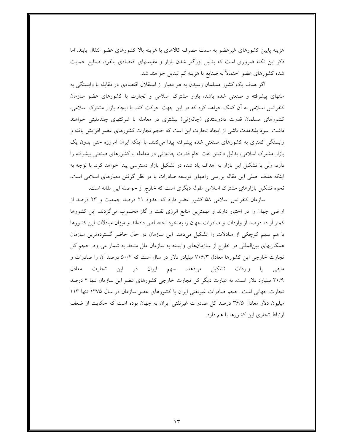هزینه پایین کشورهای غیرعضو به سمت مصرف کالاهای با هزینه بالا کشورهای عضو انتقال یابند. اما ذکر این نکته ضروری است که بدلیل بزرگتر شدن بازار و مقیاسهای اقتصادی بالقوه، صنایع حمایت شده کشورهای عضو احتمالاً به صنایع با هزینه کم تبدیل خواهند شد.

اگر هدف یک کشور مسلمان رسیدن به هر معیار از استقلال اقتصادی در مقابله با وابستگی به ملتهای پیشرفته و صنعتی شده باشد، بازار مشترک اسلامی و تجارت با کشورهای عضو سازمان کنفرانس اسلامی به آن کمک خواهد کرد که در این جهت حرکت کند. با ایجاد بازار مشترک اسلامی، کشورهای مسلمان قدرت دادوستدی (چانەزنی) بیشتری در معامله با شرکتهای چندملیتی خواهند داشت. سود بلندمدت ناشی از ایجاد تجارت این است که حجم تجارت کشورهای عضو افزایش یافته و وابستگی کمتری به کشورهای صنعتی شده پیشرفته پیدا میکنند. با اینکه ایران امروزه حتی بدون یک بازار مشترک اسلامی، بدلیل داشتن نفت خام قدرت چانهزنی در معامله با کشورهای صنعتی پیشرفته را دارد، ولی با تشکیل این بازار به اهداف یاد شده در تشکیل بازار دسترسی پیدا خواهد کرد. با توجه به اینکه هدف اصلی این مقاله بررسی راههای توسعه صادرات با در نظر گرفتن معیارهای اسلامی است، نحوه تشکیل بازارهای مشترک اسلامی مقوله دیگری است که خارج از حوصله این مقاله است.

سازمان کنفرانس اسلامی ۵۸ کشور عضو دارد که حدود ۲۱ درصد جمعیت و ۲۳ درصد از اراضی جهان را در اختیار دارند و مهمترین منابع انرژی نفت و گاز محسوب میگردند. این کشورها کمتر از ده درصد از واردات و صادرات جهان را به خود اختصاص دادهاند و میزان مبادلات این کشورها با هم سهم کوچکی از مبادلات را تشکیل میدهد. این سازمان در حال حاضر گستردهترین سازمان همکاریهای بین المللی در خارج از سازمانهای وابسته به سازمان ملل متحد به شمار می رود. حجم کل تجارت خارجی این کشورها معادل ۷۰۶/۳ میلیادر دلار در سال است که ۵۰/۴ درصد آن را صادرات و مابقی را واردات تشکیل میدهد. سهم ایران در این تجارت معادل ۳۰/۹ میلیارد دلار است. به عبارت دیگر کل تجارت خارجی کشورهای عضو این سازمان تنها ۴ درصد تجارت جهانی است. حجم صادرات غیرنفتی ایران با کشورهای عضو سازمان در سال ۱۳۷۵ تنها ۱۱۳ میلیون دلار معادل ۳۶/۵ درصد کل صادرات غیرنفتی ایران به جهان بوده است که حکایت از ضعف ارتباط تجاری این کشورها با هم دارد.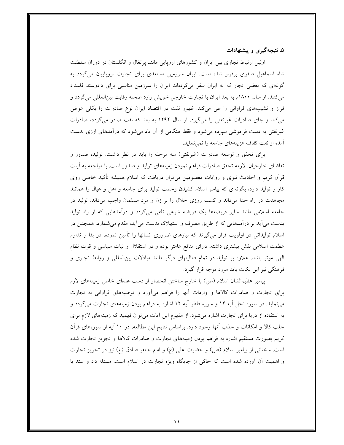۵. نتیجهگیری و پیشنهادات

اولین ارتباط تجاری بین ایران و کشورهای اروپایی مانند پرتغال و انگلستان در دوران سلطنت شاه اسماعیل صفوی برقرار شده است. ایران سرزمین مستعدی برای تجارت اروپاییان میگردد به گونهای که بعضی تجار که به ایران سفر میکردهاند ایران را سرزمین مناسبی برای دادوستد قلمداد می کنند. از سال ۱۸۰۰م به بعد ایران با تجارت خارجی خویش وارد صحنه رقابت بینالمللی می گردد و فراز و نشیبهای فراوانی را طی میکند. ظهور نفت در اقتصاد ایران نوع صادرات را بکلی عوض میکند و جای صادرات غیرنفتی را میگیرد. از سال ۱۲۹۲ به بعد که نفت صادر میگردد، صادرات غیرنفتی به دست فراموشی سپرده میشود و فقط هنگامی از آن یاد میشود که درآمدهای ارزی بدست آمده از نفت كفاف هزينههاي جامعه را نمي نمايد.

برای تحقق و توسعه صادرات (غیرنفتی) سه مرحله را باید در نظر داشت. تولید، صدور و تقاضای خارجیان. لازمه تحقق صادرات فراهم نمودن زمینههای تولید و صدور است. با مراجعه به أیات قرأن کریم و احادیث نبوی و روایات معصومین میٍتوان دریافت که اسلام همیشه تأکید خاصی روی کار و تولید دارد، بگونهای که پیامبر اسلام کشیدن زحمت تولید برای جامعه و اهل و عیال را همانند مجاهدت در راه خدا میداند و کسب روزی حلال را بر زن و مرد مسلمان واجب میداند. تولید در جامعه اسلامی مانند سایر فریضهها یک فریضه شرعی تلقی میگردد و درآمدهایی که از راه تولید بدست می آید بر درآمدهایی که از طریق مصرف و استهلاک بدست می آید، مقدم می شمارد. همچنین در اسلام تولیداتی در اولویت قرار میگیرند که نیازهای ضروری انسانها را تأمین نموده، در بقا و تداوم عظمت اسلامی نقش بیشتری داشته، دارای منافع عامتر بوده و در استقلال و ثبات سیاسی و قوت نظام الهی موثر باشد. علاوه بر تولید در تمام فعالیتهای دیگر مانند مبادلات بینالمللی و روابط تجاری و فرهنگی نیز این نکات باید مورد توجه قرار گیرد.

پیامبر عظیمالشان اسلام (ص) با خارج ساختن انحصار از دست عدمای خاص زمینههای لازم برای تجارت و صادرات کالاها و واردات آنها را فراهم میآورد و توصیههای فراوانی به تجارت می نماید. در سوره نحل آیه ۱۴ و سوره فاطر آیه ۱۲ اشاره به فراهم بودن زمینههای تجارت میگردد و به استفاده از دریا برای تجارت اشاره میشود. از مفهوم این آیات میتوان فهمید که زمینههای لازم برای جلب کالا و امکانات و جذب آنها وجود دارد. براساس نتایج این مطالعه، در ۱۰ آیه از سورههای قرآن کریم بصورت مستقیم اشاره به فراهم بودن زمینههای تجارت و صادرات کالاها و تجویز تجارت شده است. سخنانی از پیامبر اسلام (ص) و حضرت علی (ع) و امام جعفر صادق (ع) نیز در تجویز تجارت و اهمیت آن اَورده شده است که حاکمی از جایگاه ویژه تجارت در اسلام است. مسئله داد و ستد با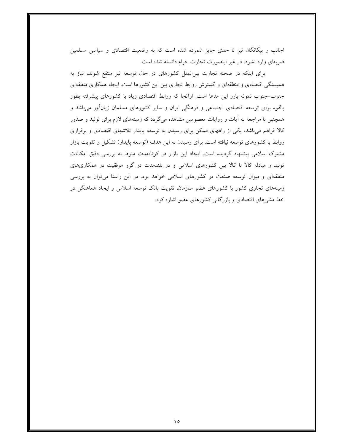اجانب و بیگانگان نیز تا حدی جایز شمرده شده است که به وضعیت اقتصادی و سیاسی مسلمین ضربهای وارد نشود. در غیر اینصورت تجارت حرام دانسته شده است.

برای اینکه در صحنه تجارت بینالملل کشورهای در حال توسعه نیز منتفع شوند، نیاز به همبستگی اقتصادی و منطقهای و گسترش روابط تجاری بین این کشورها است. ایجاد همکاری منطقهای جنوب–جنوب نمونه بارز این مدعا است. ازآنجا که روابط اقتصادی زیاد با کشورهای پیشرفته بطور بالقوه برای توسعه اقتصادی اجتماعی و فرهنگی ایران و سایر کشورهای مسلمان زیانآور میباشد و همچنین با مراجعه به أیات و روایات معصومین مشاهده میگردد که زمینههای لازم برای تولید و صدور کالا فراهم میباشد، یکی از راههای ممکن برای رسیدن به توسعه پایدار تلاشهای اقتصادی و برقراری روابط با کشورهای توسعه نیافته است. برای رسیدن به این هدف (توسعه پایدار) تشکیل و تقویت بازار مشترک اسلامی پیشنهاد گردیده است. ایجاد این بازار در کوتاهمدت منوط به بررسی دقیق امکانات تولید و مبادله کالا با کالا بین کشورهای اسلامی و در بلندمدت در گرو موفقیت در همکاریهای منطقهای و میزان توسعه صنعت در کشورهای اسلامی خواهد بود. در این راستا میتوان به بررسی زمینههای تجاری کشور با کشورهای عضو سازمان، تقویت بانک توسعه اسلامی و ایجاد هماهنگی در خط مشی های اقتصادی و بازرگانی کشورهای عضو اشاره کرد.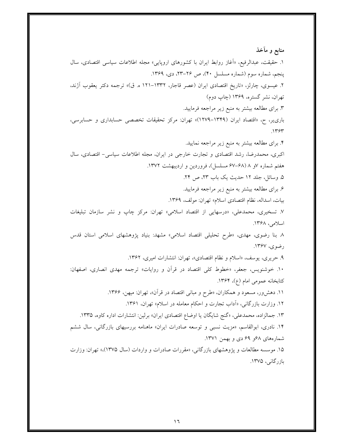منابع و مآخذ ۱. حقیقت، عبدالرفیع، «أغاز روابط ایران با کشورهای اروپایی» مجله اطلاعات سیاسی اقتصادی، سال پنجم، شماره سوم (شماره مسلسل ۴۰)، ص ۲۶–۲۳، دی، ۱۳۶۹. ۲. عیسوی، چارلز، «تاریخ اقتصادی ایران (عصر قاجار، ۱۳۳۲–۱۲۱ ه. ق)» ترجمه دکتر یعقوب آژند، تهران، نشر گستره، ۱۳۶۹ (چاپ دوم) ۳. برای مطالعه بیشتر به منبع زیر مراجعه فرمایید. باری یر، ح، «اقتصاد ایران (۱۳۴۹–۱۲۷۹)» تهران: مرکز تحقیقات تخصصی حسابداری و حسابرسی،  $.1454$ ۴. برای مطالعه بیشتر به منبع زیر مراجعه نمایید. اکبری، محمدرضا، رشد اقتصادی و تجارت خارجی در ایران، مجله اطلاعات سیاسی- اقتصادی، سال هفتم شماره ۷و ۸ (۶۸–۶۷ مسلسل)، فروردین و اردیبهشت ۱۳۷۲. ۵. وسائل، جلد ۱۲ حدیث یک باب ۲۳، ص ۲۴. ۶. برای مطالعه بیشتر به منبع زیر مراجعه فرمایید. بيات، اسداله، نظام اقتصادي اسلام» تهران: مولف، ١٣۶٩. ۷. تسخیری، محمدعلی، «درسهایی از اقتصاد اسلامی» تهران: مرکز چاپ و نشر سازمان تبلیغات اسلامی، ۱۳۶۸. ۸ بنا رضوی، مهدی، «طرح تحلیلی اقتصاد اسلامی» مشهد: بنیاد پژوهشهای اسلامی استان قدس رضوي، ١٣۶٧. ۹. حریری، یوسف، «اسلام و نظام اقتصادی»، تهران: انتشارات امیری، ۱۳۶۲. ۱۰. خوشنویس، جعفر، «خطوط کلی اقتصاد در قرآن و روایات» ترجمه مهدی انصاری، اصفهان: كتابخانه عمومي امام (ع)، ١٣۶۴. ۱۱. دهشور، مسعود و همکاران، «طرح و مبانی اقتصاد در قرآن»، تهران: میهن، ۱۳۶۶. ۱۲. وزارت بازرگانی، «اَداب تجارت و احکام معامله در اسلام» تهران، ۱۳۶۱. ۱۳. جمالزاده، محمدعلی، «گنج شایگان یا اوضاع اقتصادی ایران» برلین: انتشارات اداره کاوه، ۱۳۳۵. ۱۴. نادری، ابوالقاسم، «مزیت نسبی و توسعه صادرات ایران» ماهنامه بررسیهای بازرگانی، سال ششم شمارههای ۶۸و ۶۹ دی و بهمن ۱۳۷۱. ۱۵. موسسه مطالعات و یژوهشهای بازرگانی، «مقررات صادرات و واردات (سال ۱۳۷۵)»، تهران: وزارت بازرگانی، ۱۳۷۵.